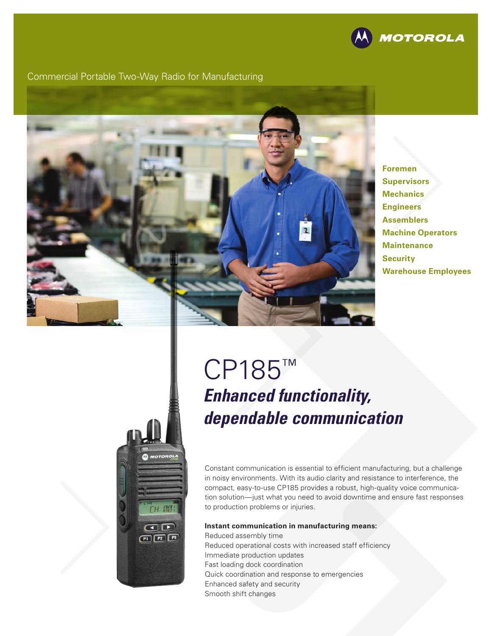

#### Commercial Portable Two-Way Radio for Manufacturing



**Foremen Supervisors Mechanics Engineers Assemblers Machine Operators Maintenance Security Warehouse Employees**

# **H AM** OD  $P1$   $P2$   $P3$

# CP185™ *Enhanced functionality, dependable communication*

Constant communication is essential to efficient manufacturing, but a challenge in noisy environments. With its audio clarity and resistance to interference, the compact, easy-to-use CP185 provides a robust, high-quality voice communication solution—just what you need to avoid downtime and ensure fast responses to production problems or injuries.

#### **Instant communication in manufacturing means:**

Reduced assembly time Reduced operational costs with increased staff efficiency Immediate production updates Fast loading dock coordination Quick coordination and response to emergencies Enhanced safety and security Smooth shift changes